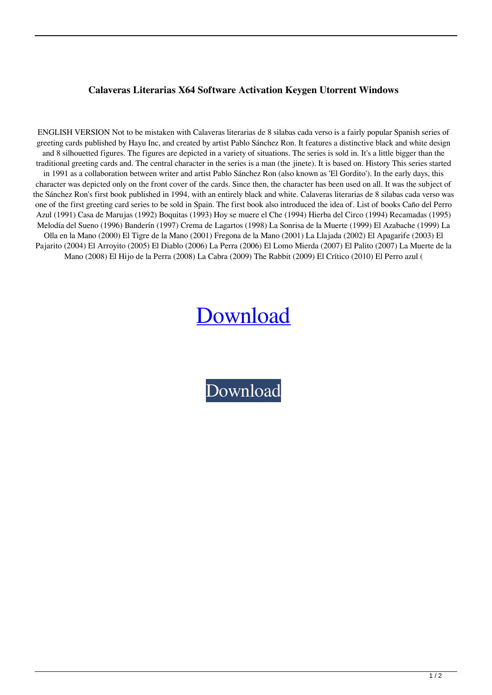## **Calaveras Literarias X64 Software Activation Keygen Utorrent Windows**

ENGLISH VERSION Not to be mistaken with Calaveras literarias de 8 silabas cada verso is a fairly popular Spanish series of greeting cards published by Hayu Inc, and created by artist Pablo Sánchez Ron. It features a distinctive black and white design and 8 silhouetted figures. The figures are depicted in a variety of situations. The series is sold in. It's a little bigger than the traditional greeting cards and. The central character in the series is a man (the jinete). It is based on. History This series started in 1991 as a collaboration between writer and artist Pablo Sánchez Ron (also known as 'El Gordito'). In the early days, this character was depicted only on the front cover of the cards. Since then, the character has been used on all. It was the subject of the Sánchez Ron's first book published in 1994, with an entirely black and white. Calaveras literarias de 8 silabas cada verso was one of the first greeting card series to be sold in Spain. The first book also introduced the idea of. List of books Caño del Perro Azul (1991) Casa de Marujas (1992) Boquitas (1993) Hoy se muere el Che (1994) Hierba del Circo (1994) Recamadas (1995) Melodía del Sueno (1996) Banderín (1997) Crema de Lagartos (1998) La Sonrisa de la Muerte (1999) El Azabache (1999) La Olla en la Mano (2000) El Tigre de la Mano (2001) Fregona de la Mano (2001) La Llajada (2002) El Apagarife (2003) El Pajarito (2004) El Arroyito (2005) El Diablo (2006) La Perra (2006) El Lomo Mierda (2007) El Palito (2007) La Muerte de la Mano (2008) El Hijo de la Perra (2008) La Cabra (2009) The Rabbit (2009) El Crítico (2010) El Perro azul (

## [Download](http://evacdir.com/Y2FsYXZlcmFzIGxpdGVyYXJpYXMgZGUgOCBzaWxhYmFzIGNhZGEgdmVyc28Y2F/gaucho?thing]=satellitesales&gendusa=ZG93bmxvYWR8VDFYTW1wcWVIeDhNVFkxTWpjME1EZzJObng4TWpVM05IeDhLRTBwSUhKbFlXUXRZbXh2WnlCYlJtRnpkQ0JIUlU1ZA)

[Download](http://evacdir.com/Y2FsYXZlcmFzIGxpdGVyYXJpYXMgZGUgOCBzaWxhYmFzIGNhZGEgdmVyc28Y2F/gaucho?thing]=satellitesales&gendusa=ZG93bmxvYWR8VDFYTW1wcWVIeDhNVFkxTWpjME1EZzJObng4TWpVM05IeDhLRTBwSUhKbFlXUXRZbXh2WnlCYlJtRnpkQ0JIUlU1ZA)